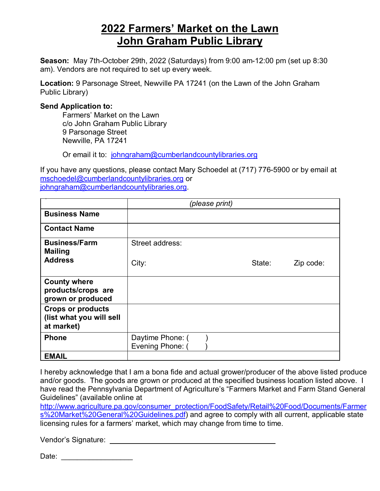## **2022 Farmers' Market on the Lawn John Graham Public Library**

**Season:** May 7th-October 29th, 2022 (Saturdays) from 9:00 am-12:00 pm (set up 8:30 am). Vendors are not required to set up every week.

**Location:** 9 Parsonage Street, Newville PA 17241 (on the Lawn of the John Graham Public Library)

## **Send Application to:**

Farmers' Market on the Lawn c/o John Graham Public Library 9 Parsonage Street Newville, PA 17241

Or email it to: johngraham@cumberlandcountylibraries.org

If you have any questions, please contact Mary Schoedel at (717) 776-5900 or by email at mschoedel@cumberlandcountylibraries.org or johngraham@cumberlandcountylibraries.org.

|                                                                    | (please print)                       |  |        |           |
|--------------------------------------------------------------------|--------------------------------------|--|--------|-----------|
| <b>Business Name</b>                                               |                                      |  |        |           |
| <b>Contact Name</b>                                                |                                      |  |        |           |
| <b>Business/Farm</b><br><b>Mailing</b>                             | Street address:                      |  |        |           |
| <b>Address</b>                                                     | City:                                |  | State: | Zip code: |
| <b>County where</b><br>products/crops are<br>grown or produced     |                                      |  |        |           |
| <b>Crops or products</b><br>(list what you will sell<br>at market) |                                      |  |        |           |
| <b>Phone</b>                                                       | Daytime Phone: (<br>Evening Phone: ( |  |        |           |
| <b>EMAIL</b>                                                       |                                      |  |        |           |

I hereby acknowledge that I am a bona fide and actual grower/producer of the above listed produce and/or goods. The goods are grown or produced at the specified business location listed above. I have read the Pennsylvania Department of Agriculture's "Farmers Market and Farm Stand General Guidelines" (available online at

http://www.agriculture.pa.gov/consumer\_protection/FoodSafety/Retail%20Food/Documents/Farmer s%20Market%20General%20Guidelines.pdf) and agree to comply with all current, applicable state licensing rules for a farmers' market, which may change from time to time.

Vendor's Signature: **Wendor**'s Signature:

Date: \_\_\_\_\_\_\_\_\_\_\_\_\_\_\_\_\_\_